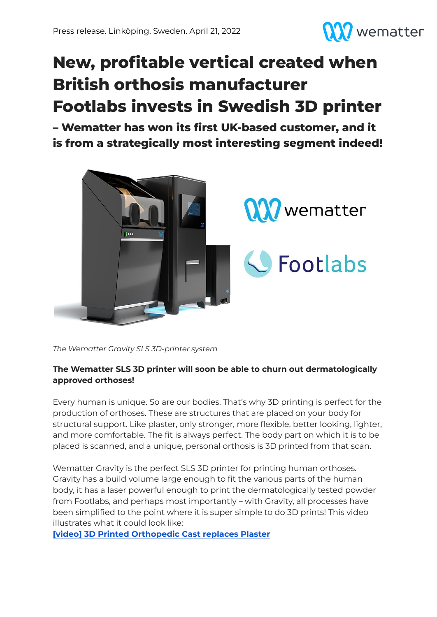

# **New, profitable vertical created when British orthosis manufacturer Footlabs invests in Swedish 3D printer**

**– Wematter has won its first UK-based customer, and it is from a strategically most interesting segment indeed!**



*The Wematter Gravity SLS 3D-printer system*

# **The Wematter SLS 3D printer will soon be able to churn out dermatologically approved orthoses!**

Every human is unique. So are our bodies. That's why 3D printing is perfect for the production of orthoses. These are structures that are placed on your body for structural support. Like plaster, only stronger, more flexible, better looking, lighter, and more comfortable. The fit is always perfect. The body part on which it is to be placed is scanned, and a unique, personal orthosis is 3D printed from that scan.

Wematter Gravity is the perfect SLS 3D printer for printing human orthoses. Gravity has a build volume large enough to fit the various parts of the human body, it has a laser powerful enough to print the dermatologically tested powder from Footlabs, and perhaps most importantly – with Gravity, all processes have been simplified to the point where it is super simple to do 3D prints! This video illustrates what it could look like:

**[video] 3D Printed [Orthopedic](https://www.youtube.com/watch?v=FXuhWvbyLIs) Cast replaces Plaster**